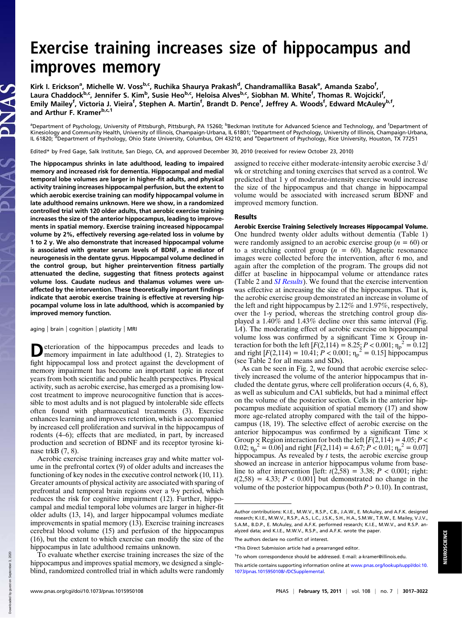# Exercise training increases size of hippocampus and improves memory

Kirk I. Erickson<sup>a</sup>, Michelle W. Voss<sup>b,c</sup>, Ruchika Shaurya Prakash<sup>d</sup>, Chandramallika Basak<sup>e</sup>, Amanda Szabo<sup>f</sup>, Laura Chaddock<sup>b,c</sup>, Jennifer S. Kim<sup>b</sup>, Susie Heo<sup>b,c</sup>, Heloisa Alves<sup>b,c</sup>, Siobhan M. White<sup>f</sup>, Thomas R. Wojcicki<sup>f</sup>, Emily Mailey<sup>f</sup>, Victoria J. Vieira<sup>f</sup>, Stephen A. Martin<sup>f</sup>, Brandt D. Pence<sup>f</sup>, Jeffrey A. Woods<sup>f</sup>, Edward McAuley<sup>b,f</sup>, and Arthur F. Kramerb,c,1

<sup>a</sup>Department of Psychology, University of Pittsburgh, Pittsburgh, PA 15260; <sup>b</sup>Beckman Institute for Advanced Science and Technology, and <sup>f</sup>Department of Kinesiology and Community Health, University of Illinois, Champaign-Urbana, IL 61801; 'Department of Psychology, University of Illinois, Champaign-Urbana, IL 61820; <sup>d</sup>Department of Psychology, Ohio State University, Columbus, OH 43210; and <sup>e</sup>Department of Psychology, Rice University, Houston, TX 77251

Edited\* by Fred Gage, Salk Institute, San Diego, CA, and approved December 30, 2010 (received for review October 23, 2010)

The hippocampus shrinks in late adulthood, leading to impaired memory and increased risk for dementia. Hippocampal and medial temporal lobe volumes are larger in higher-fit adults, and physical activity training increases hippocampal perfusion, but the extent to which aerobic exercise training can modify hippocampal volume in late adulthood remains unknown. Here we show, in a randomized controlled trial with 120 older adults, that aerobic exercise training increases the size of the anterior hippocampus, leading to improvements in spatial memory. Exercise training increased hippocampal volume by 2%, effectively reversing age-related loss in volume by 1 to 2 y. We also demonstrate that increased hippocampal volume is associated with greater serum levels of BDNF, a mediator of neurogenesis in the dentate gyrus. Hippocampal volume declined in the control group, but higher preintervention fitness partially attenuated the decline, suggesting that fitness protects against volume loss. Caudate nucleus and thalamus volumes were unaffected by the intervention. These theoretically important findings indicate that aerobic exercise training is effective at reversing hippocampal volume loss in late adulthood, which is accompanied by improved memory function.

aging | brain | cognition | plasticity | MRI

**D**eterioration of the hippocampus precedes and leads to memory impairment in late adulthood (1, 2). Strategies to fight hippocampal loss and protect against the development of memory impairment has become an important topic in recent years from both scientific and public health perspectives. Physical activity, such as aerobic exercise, has emerged as a promising lowcost treatment to improve neurocognitive function that is accessible to most adults and is not plagued by intolerable side effects often found with pharmaceutical treatments (3). Exercise enhances learning and improves retention, which is accompanied by increased cell proliferation and survival in the hippocampus of rodents (4–6); effects that are mediated, in part, by increased production and secretion of BDNF and its receptor tyrosine kinase trkB (7, 8).

Aerobic exercise training increases gray and white matter volume in the prefrontal cortex (9) of older adults and increases the functioning of key nodes in the executive control network (10, 11). Greater amounts of physical activity are associated with sparing of prefrontal and temporal brain regions over a 9-y period, which reduces the risk for cognitive impairment (12). Further, hippocampal and medial temporal lobe volumes are larger in higher-fit older adults (13, 14), and larger hippocampal volumes mediate improvements in spatial memory (13). Exercise training increases cerebral blood volume (15) and perfusion of the hippocampus (16), but the extent to which exercise can modify the size of the hippocampus in late adulthood remains unknown.

To evaluate whether exercise training increases the size of the hippocampus and improves spatial memory, we designed a singleblind, randomized controlled trial in which adults were randomly

assigned to receive either moderate-intensity aerobic exercise 3 d/ wk or stretching and toning exercises that served as a control. We predicted that 1 y of moderate-intensity exercise would increase the size of the hippocampus and that change in hippocampal volume would be associated with increased serum BDNF and improved memory function.

### Results

Aerobic Exercise Training Selectively Increases Hippocampal Volume. One hundred twenty older adults without dementia (Table 1) were randomly assigned to an aerobic exercise group ( $n = 60$ ) or to a stretching control group ( $n = 60$ ). Magnetic resonance images were collected before the intervention, after 6 mo, and again after the completion of the program. The groups did not differ at baseline in hippocampal volume or attendance rates (Table 2 and [SI Results](http://www.pnas.org/lookup/suppl/doi:10.1073/pnas.1015950108/-/DCSupplemental/pnas.201015950SI.pdf?targetid=nameddest=STXT)). We found that the exercise intervention was effective at increasing the size of the hippocampus. That is, the aerobic exercise group demonstrated an increase in volume of the left and right hippocampus by 2.12% and 1.97%, respectively, over the 1-y period, whereas the stretching control group displayed a 1.40% and 1.43% decline over this same interval (Fig. 1A). The moderating effect of aerobic exercise on hippocampal volume loss was confirmed by a significant Time  $\times$  Group interaction for both the left  $[F(2, 114) = 8.25; P < 0.001; \eta_p^2 = 0.12]$ and right  $[F(2,114) = 10.41; P < 0.001; \eta_p^2 = 0.15]$  hippocampus (see Table 2 for all means and SDs).

As can be seen in Fig. 2, we found that aerobic exercise selectively increased the volume of the anterior hippocampus that included the dentate gyrus, where cell proliferation occurs (4, 6, 8), as well as subiculum and CA1 subfields, but had a minimal effect on the volume of the posterior section. Cells in the anterior hippocampus mediate acquisition of spatial memory (17) and show more age-related atrophy compared with the tail of the hippocampus (18, 19). The selective effect of aerobic exercise on the anterior hippocampus was confirmed by a significant Time  $\times$ Group  $\times$  Region interaction for both the left [ $F(2,114) = 4.05; P <$ 0.02;  $\eta_p^2 = 0.06$ ] and right [ $F(2,114) = 4.67$ ;  $P < 0.01$ ;  $\eta_p^2 = 0.07$ ] hippocampus. As revealed by  $t$  tests, the aerobic exercise group showed an increase in anterior hippocampus volume from baseline to after intervention [left:  $t(2,58) = 3.38; P < 0.001;$  right:  $t(2,58) = 4.33$ ;  $P < 0.001$ ] but demonstrated no change in the volume of the posterior hippocampus (both  $P > 0.10$ ). In contrast,

Author contributions: K.I.E., M.W.V., R.S.P., C.B., J.A.W., E. McAuley, and A.F.K. designed research; K.I.E., M.W.V., R.S.P., A.S., L.C., J.S.K., S.H., H.A., S.M.W., T.R.W., E. Mailey, V.J.V., S.A.M., B.D.P., E. McAuley, and A.F.K. performed research; K.I.E., M.W.V., and R.S.P. analyzed data; and K.I.E., M.W.V., R.S.P., and A.F.K. wrote the paper.

The authors declare no conflict of interest.

<sup>\*</sup>This Direct Submission article had a prearranged editor.

<sup>&</sup>lt;sup>1</sup>To whom correspondence should be addressed. E-mail: [a-kramer@illinois.edu.](mailto:a-kramer@illinois.edu)

This article contains supporting information online at [www.pnas.org/lookup/suppl/doi:10.](http://www.pnas.org/lookup/suppl/doi:10.1073/pnas.1015950108/-/DCSupplemental) [1073/pnas.1015950108/-/DCSupplemental](http://www.pnas.org/lookup/suppl/doi:10.1073/pnas.1015950108/-/DCSupplemental).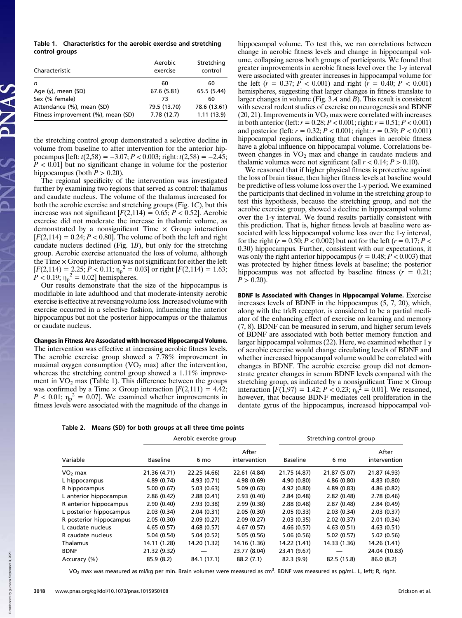|                | Table 1. Characteristics for the aerobic exercise and stretching |  |  |  |
|----------------|------------------------------------------------------------------|--|--|--|
| control groups |                                                                  |  |  |  |

| Characteristic                     | Aerobic<br>exercise | Stretching<br>control |
|------------------------------------|---------------------|-----------------------|
| n                                  | 60                  | 60                    |
| Age (y), mean (SD)                 | 67.6 (5.81)         | 65.5 (5.44)           |
| Sex (% female)                     | 73                  | 60                    |
| Attendance (%), mean (SD)          | 79.5 (13.70)        | 78.6 (13.61)          |
| Fitness improvement (%), mean (SD) | 7.78(12.7)          | 1.11(13.9)            |

the stretching control group demonstrated a selective decline in volume from baseline to after intervention for the anterior hippocampus [left:  $t(2,58) = -3.07; P < 0.003$ ; right:  $t(2,58) = -2.45;$  $P < 0.01$  but no significant change in volume for the posterior hippocampus (both  $P > 0.20$ ).

The regional specificity of the intervention was investigated further by examining two regions that served as control: thalamus and caudate nucleus. The volume of the thalamus increased for both the aerobic exercise and stretching groups (Fig. 1C), but this increase was not significant  $[F(2,114) = 0.65; P < 0.52]$ . Aerobic exercise did not moderate the increase in thalamic volume, as demonstrated by a nonsignificant Time  $\times$  Group interaction  $[F(2,114) = 0.24; P < 0.80]$ . The volume of both the left and right caudate nucleus declined (Fig. 1B), but only for the stretching group. Aerobic exercise attenuated the loss of volume, although the Time  $\times$  Group interaction was not significant for either the left  $[F(2,114) = 2.25; P < 0.11; \eta_p^2 = 0.03]$  or right  $[F(2,114) = 1.63;$  $P < 0.19$ ;  $\eta_{\rm p}^2 = 0.02$ ] hemispheres.

Our results demonstrate that the size of the hippocampus is modifiable in late adulthood and that moderate-intensity aerobic exercise is effective at reversing volume loss. Increased volume with exercise occurred in a selective fashion, influencing the anterior hippocampus but not the posterior hippocampus or the thalamus or caudate nucleus.

#### Changes in Fitness Are Associated with Increased Hippocampal Volume.

The intervention was effective at increasing aerobic fitness levels. The aerobic exercise group showed a 7.78% improvement in maximal oxygen consumption  $(VO<sub>2</sub>$  max) after the intervention, whereas the stretching control group showed a 1.11% improvement in  $VO<sub>2</sub>$  max (Table 1). This difference between the groups was confirmed by a Time  $\times$  Group interaction  $[F(2,111) = 4.42;$  $P < 0.01$ ;  $\eta_{\rm p}^2 = 0.07$ ]. We examined whether improvements in fitness levels were associated with the magnitude of the change in hippocampal volume. To test this, we ran correlations between change in aerobic fitness levels and change in hippocampal volume, collapsing across both groups of participants. We found that greater improvements in aerobic fitness level over the 1-y interval were associated with greater increases in hippocampal volume for the left  $(r = 0.37; P < 0.001)$  and right  $(r = 0.40; P < 0.001)$ hemispheres, suggesting that larger changes in fitness translate to larger changes in volume (Fig.  $3\overline{A}$  and  $\overline{B}$ ). This result is consistent with several rodent studies of exercise on neurogenesis and BDNF  $(20, 21)$ . Improvements in  $VO<sub>2</sub>$  max were correlated with increases in both anterior (left:  $r = 0.28; P < 0.001$ ; right:  $r = 0.51; P < 0.001$ ) and posterior (left:  $r = 0.32$ ;  $P < 0.001$ ; right:  $r = 0.39$ ;  $P < 0.001$ ) hippocampal regions, indicating that changes in aerobic fitness have a global influence on hippocampal volume. Correlations between changes in  $VO<sub>2</sub>$  max and change in caudate nucleus and thalamic volumes were not significant (all  $r < 0.14$ ;  $P > 0.10$ ).

We reasoned that if higher physical fitness is protective against the loss of brain tissue, then higher fitness levels at baseline would be predictive of less volume loss over the 1-y period. We examined the participants that declined in volume in the stretching group to test this hypothesis, because the stretching group, and not the aerobic exercise group, showed a decline in hippocampal volume over the 1-y interval. We found results partially consistent with this prediction. That is, higher fitness levels at baseline were associated with less hippocampal volume loss over the 1-y interval, for the right ( $r = 0.50$ ;  $P < 0.002$ ) but not for the left ( $r = 0.17$ ;  $P <$ 0.30) hippocampus. Further, consistent with our expectations, it was only the right anterior hippocampus ( $r = 0.48; P < 0.003$ ) that was protected by higher fitness levels at baseline; the posterior hippocampus was not affected by baseline fitness  $(r = 0.21)$ ;  $P > 0.20$ ).

BDNF Is Associated with Changes in Hippocampal Volume. Exercise increases levels of BDNF in the hippocampus (5, 7, 20), which, along with the trkB receptor, is considered to be a partial mediator of the enhancing effect of exercise on learning and memory (7, 8). BDNF can be measured in serum, and higher serum levels of BDNF are associated with both better memory function and larger hippocampal volumes (22). Here, we examined whether 1 y of aerobic exercise would change circulating levels of BDNF and whether increased hippocampal volume would be correlated with changes in BDNF. The aerobic exercise group did not demonstrate greater changes in serum BDNF levels compared with the stretching group, as indicated by a nonsignificant Time  $\times$  Group interaction  $[F(1,97) = 1.42; P < 0.23; \eta_p^2 = 0.01]$ . We reasoned, however, that because BDNF mediates cell proliferation in the dentate gyrus of the hippocampus, increased hippocampal vol-

|                         | Aerobic exercise group |              |                       | Stretching control group |              |                       |
|-------------------------|------------------------|--------------|-----------------------|--------------------------|--------------|-----------------------|
| Variable                | <b>Baseline</b>        | 6 mo         | After<br>intervention | <b>Baseline</b>          | 6 mo         | After<br>intervention |
| $VO2$ max               | 21.36 (4.71)           | 22.25 (4.66) | 22.61 (4.84)          | 21.75 (4.87)             | 21.87 (5.07) | 21.87 (4.93)          |
| L hippocampus           | 4.89 (0.74)            | 4.93(0.71)   | 4.98(0.69)            | 4.90(0.80)               | 4.86(0.80)   | 4.83(0.80)            |
| R hippocampus           | 5.00(0.67)             | 5.03(0.63)   | 5.09(0.63)            | 4.92 (0.80)              | 4.89(0.83)   | 4.86(0.82)            |
| L anterior hippocampus  | 2.86(0.42)             | 2.88(0.41)   | 2.93(0.40)            | 2.84(0.48)               | 2.82(0.48)   | 2.78(0.46)            |
| R anterior hippocampus  | 2.90(0.40)             | 2.93(0.38)   | 2.99(0.38)            | 2.88(0.48)               | 2.87(0.48)   | 2.84(0.49)            |
| L posterior hippocampus | 2.03(0.34)             | 2.04(0.31)   | 2.05(0.30)            | 2.05(0.33)               | 2.03(0.34)   | 2.03(0.37)            |
| R posterior hippocampus | 2.05(0.30)             | 2.09(0.27)   | 2.09(0.27)            | 2.03(0.35)               | 2.02(0.37)   | 2.01(0.34)            |
| L caudate nucleus       | 4.65(0.57)             | 4.68(0.57)   | 4.67(0.57)            | 4.66(0.57)               | 4.63(0.51)   | 4.63(0.51)            |
| R caudate nucleus       | 5.04(0.54)             | 5.04(0.52)   | 5.05(0.56)            | 5.06(0.56)               | 5.02(0.57)   | 5.02(0.56)            |
| Thalamus                | 14.11 (1.28)           | 14.20 (1.32) | 14.16 (1.36)          | 14.22 (1.41)             | 14.33 (1.36) | 14.26 (1.41)          |
| <b>BDNF</b>             | 21.32 (9.32)           |              | 23.77 (8.04)          | 23.41 (9.67)             |              | 24.04 (10.83)         |
| Accuracy (%)            | 85.9 (8.2)             | 84.1 (17.1)  | 88.2 (7.1)            | 82.3 (9.9)               | 82.5 (15.8)  | 86.0(8.2)             |

VO<sub>2</sub> max was measured as ml/kg per min. Brain volumes were measured as cm<sup>3</sup>. BDNF was measured as pg/mL. L, left; R, right.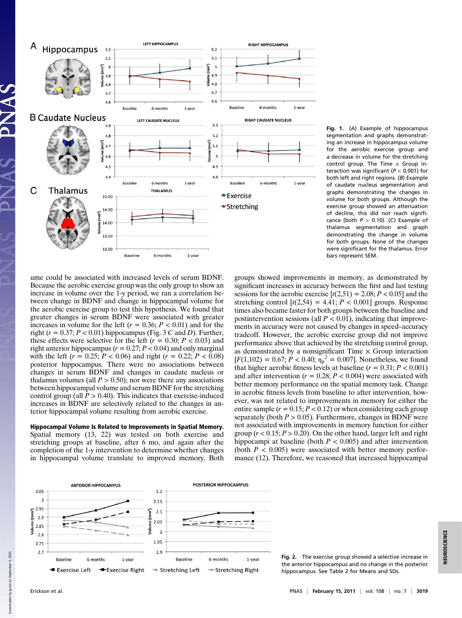

Fig. 1. (A) Example of hippocampus segmentation and graphs demonstrating an increase in hippocampus volume for the aerobic exercise group and a decrease in volume for the stretching control group. The Time  $\times$  Group interaction was significant ( $P < 0.001$ ) for both left and right regions. (B) Example of caudate nucleus segmentation and graphs demonstrating the changes in volume for both groups. Although the exercise group showed an attenuation of decline, this did not reach significance (both  $P > 0.10$ ). (C) Example of thalamus segmentation and graph demonstrating the change in volume for both groups. None of the changes were significant for the thalamus. Error bars represent SEM.

ume could be associated with increased levels of serum BDNF. Because the aerobic exercise group was the only group to show an increase in volume over the 1-y period, we ran a correlation between change in BDNF and change in hippocampal volume for the aerobic exercise group to test this hypothesis. We found that greater changes in serum BDNF were associated with greater increases in volume for the left ( $r = 0.36$ ;  $P < 0.01$ ) and for the right ( $r = 0.37; P < 0.01$ ) hippocampus (Fig. 3 C and D). Further, these effects were selective for the left ( $r = 0.30; P < 0.03$ ) and right anterior hippocampus ( $r = 0.27$ ;  $P < 0.04$ ) and only marginal with the left ( $r = 0.25$ ;  $P < 0.06$ ) and right ( $r = 0.22$ ;  $P < 0.08$ ) posterior hippocampus. There were no associations between changes in serum BDNF and changes in caudate nucleus or thalamus volumes (all  $P > 0.50$ ); nor were there any associations between hippocampal volume and serum BDNF for the stretching control group (all  $\bar{P} > 0.40$ ). This indicates that exercise-induced increases in BDNF are selectively related to the changes in anterior hippocampal volume resulting from aerobic exercise.

Hippocampal Volume Is Related to Improvements in Spatial Memory. Spatial memory (13, 22) was tested on both exercise and stretching groups at baseline, after 6 mo, and again after the completion of the 1-y intervention to determine whether changes in hippocampal volume translate to improved memory. Both groups showed improvements in memory, as demonstrated by significant increases in accuracy between the first and last testing sessions for the aerobic exercise  $[t(2,51) = 2.08; P < 0.05]$  and the stretching control  $[t(2,54) = 4.41; P < 0.001]$  groups. Response times also became faster for both groups between the baseline and postintervention sessions (all  $P < 0.01$ ), indicating that improvements in accuracy were not caused by changes in speed–accuracy tradeoff. However, the aerobic exercise group did not improve performance above that achieved by the stretching control group, as demonstrated by a nonsignificant Time  $\times$  Group interaction  $[F(1,102) = 0.67; P < 0.40; \eta_p^2 = 0.007]$ . Nonetheless, we found that higher aerobic fitness levels at baseline  $(r = 0.31; P < 0.001)$ and after intervention ( $r = 0.28$ ;  $P < 0.004$ ) were associated with better memory performance on the spatial memory task. Change in aerobic fitness levels from baseline to after intervention, however, was not related to improvements in memory for either the entire sample  $(r = 0.15; P < 0.12)$  or when considering each group separately (both  $P > 0.05$ ). Furthermore, changes in BDNF were not associated with improvements in memory function for either group ( $r < 0.15$ ;  $P > 0.20$ ). On the other hand, larger left and right hippocampi at baseline (both  $P < 0.005$ ) and after intervention (both  $P < 0.005$ ) were associated with better memory performance (12). Therefore, we reasoned that increased hippocampal



Fig. 2. The exercise group showed a selective increase in the anterior hippocampus and no change in the posterior hippocampus. See Table 2 for Means and SDs.

Down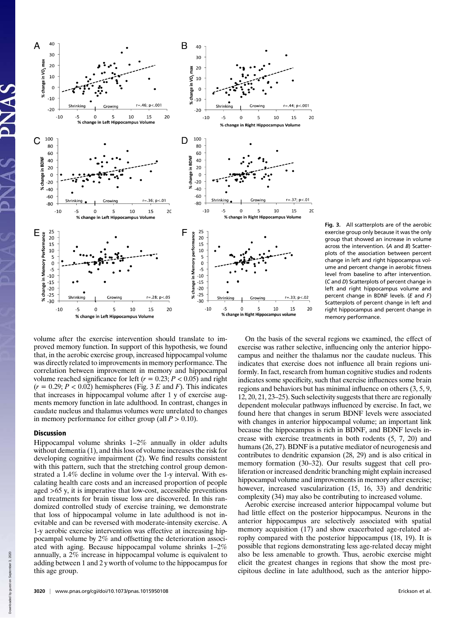

Fig. 3. All scatterplots are of the aerobic exercise group only because it was the only group that showed an increase in volume across the intervention. (A and B) Scatterplots of the association between percent change in left and right hippocampus volume and percent change in aerobic fitness level from baseline to after intervention. (C and D) Scatterplots of percent change in left and right hippocampus volume and percent change in BDNF levels. (E and F) Scatterplots of percent change in left and right hippocampus and percent change in memory performance.

volume after the exercise intervention should translate to improved memory function. In support of this hypothesis, we found that, in the aerobic exercise group, increased hippocampal volume was directly related to improvements in memory performance. The correlation between improvement in memory and hippocampal volume reached significance for left ( $r = 0.23$ ;  $P < 0.05$ ) and right  $(r = 0.29; P < 0.02)$  hemispheres (Fig. 3 E and F). This indicates that increases in hippocampal volume after 1 y of exercise augments memory function in late adulthood. In contrast, changes in caudate nucleus and thalamus volumes were unrelated to changes in memory performance for either group (all  $P > 0.10$ ).

## **Discussion**

Hippocampal volume shrinks 1–2% annually in older adults without dementia (1), and this loss of volume increases the risk for developing cognitive impairment (2). We find results consistent with this pattern, such that the stretching control group demonstrated a 1.4% decline in volume over the 1-y interval. With escalating health care costs and an increased proportion of people aged >65 y, it is imperative that low-cost, accessible preventions and treatments for brain tissue loss are discovered. In this randomized controlled study of exercise training, we demonstrate that loss of hippocampal volume in late adulthood is not inevitable and can be reversed with moderate-intensity exercise. A 1-y aerobic exercise intervention was effective at increasing hippocampal volume by 2% and offsetting the deterioration associated with aging. Because hippocampal volume shrinks 1–2% annually, a 2% increase in hippocampal volume is equivalent to adding between 1 and 2 y worth of volume to the hippocampus for this age group.

On the basis of the several regions we examined, the effect of exercise was rather selective, influencing only the anterior hippocampus and neither the thalamus nor the caudate nucleus. This indicates that exercise does not influence all brain regions uniformly. In fact, research from human cognitive studies and rodents indicates some specificity, such that exercise influences some brain regions and behaviors but has minimal influence on others (3, 5, 9, 12, 20, 21, 23–25). Such selectivity suggests that there are regionally dependent molecular pathways influenced by exercise. In fact, we found here that changes in serum BDNF levels were associated with changes in anterior hippocampal volume; an important link because the hippocampus is rich in BDNF, and BDNF levels increase with exercise treatments in both rodents (5, 7, 20) and humans (26, 27). BDNF is a putative mediator of neurogenesis and contributes to dendritic expansion (28, 29) and is also critical in memory formation (30–32). Our results suggest that cell proliferation or increased dendritic branching might explain increased hippocampal volume and improvements in memory after exercise; however, increased vascularization (15, 16, 33) and dendritic complexity (34) may also be contributing to increased volume.

Aerobic exercise increased anterior hippocampal volume but had little effect on the posterior hippocampus. Neurons in the anterior hippocampus are selectively associated with spatial memory acquisition (17) and show exacerbated age-related atrophy compared with the posterior hippocampus (18, 19). It is possible that regions demonstrating less age-related decay might also be less amenable to growth. Thus, aerobic exercise might elicit the greatest changes in regions that show the most precipitous decline in late adulthood, such as the anterior hippo-

Down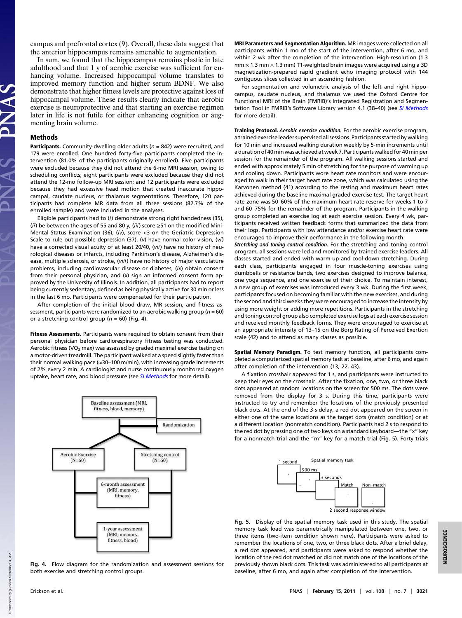campus and prefrontal cortex (9). Overall, these data suggest that the anterior hippocampus remains amenable to augmentation.

In sum, we found that the hippocampus remains plastic in late adulthood and that 1 y of aerobic exercise was sufficient for enhancing volume. Increased hippocampal volume translates to improved memory function and higher serum BDNF. We also demonstrate that higher fitness levels are protective against loss of hippocampal volume. These results clearly indicate that aerobic exercise is neuroprotective and that starting an exercise regimen later in life is not futile for either enhancing cognition or augmenting brain volume.

#### Methods

Participants. Community-dwelling older adults ( $n = 842$ ) were recruited, and 179 were enrolled. One hundred forty-five participants completed the intervention (81.0% of the participants originally enrolled). Five participants were excluded because they did not attend the 6-mo MRI session, owing to scheduling conflicts; eight participants were excluded because they did not attend the 12-mo follow-up MRI session; and 12 participants were excluded because they had excessive head motion that created inaccurate hippocampal, caudate nucleus, or thalamus segmentations. Therefore, 120 participants had complete MR data from all three sessions (82.7% of the enrolled sample) and were included in the analyses.

Eligible participants had to (i) demonstrate strong right handedness (35), (ii) be between the ages of 55 and 80 y, (iii) score  $\geq$ 51 on the modified Mini-Mental Status Examination (36), (iv), score  $<$ 3 on the Geriatric Depression Scale to rule out possible depression (37), (v) have normal color vision, (vi) have a corrected visual acuity of at least 20/40, (vii) have no history of neurological diseases or infarcts, including Parkinson's disease, Alzheimer's disease, multiple sclerosis, or stroke, (viii) have no history of major vasculature problems, including cardiovascular disease or diabetes, (ix) obtain consent from their personal physician, and (x) sign an informed consent form approved by the University of Illinois. In addition, all participants had to report being currently sedentary, defined as being physically active for 30 min or less in the last 6 mo. Participants were compensated for their participation.

After completion of the initial blood draw, MR session, and fitness assessment, participants were randomized to an aerobic walking group ( $n = 60$ ) or a stretching control group ( $n = 60$ ) (Fig. 4).

Fitness Assessments. Participants were required to obtain consent from their personal physician before cardiorespiratory fitness testing was conducted. Aerobic fitness (VO<sub>2</sub> max) was assessed by graded maximal exercise testing on a motor-driven treadmill. The participant walked at a speed slightly faster than their normal walking pace ( $\approx$ 30–100 m/min), with increasing grade increments of 2% every 2 min. A cardiologist and nurse continuously monitored oxygen uptake, heart rate, and blood pressure (see [SI Methods](http://www.pnas.org/lookup/suppl/doi:10.1073/pnas.1015950108/-/DCSupplemental/pnas.201015950SI.pdf?targetid=nameddest=STXT) for more detail).





MRI Parameters and Segmentation Algorithm. MR images were collected on all participants within 1 mo of the start of the intervention, after 6 mo, and within 2 wk after the completion of the intervention. High-resolution (1.3  $mm \times 1.3$  mm  $\times$  1.3 mm) T1-weighted brain images were acquired using a 3D magnetization-prepared rapid gradient echo imaging protocol with 144 contiguous slices collected in an ascending fashion.

For segmentation and volumetric analysis of the left and right hippocampus, caudate nucleus, and thalamus we used the Oxford Centre for Functional MRI of the Brain (FMRIB)'s Integrated Registration and Segmen-tation Tool in FMRIB's Software Library version 4.1 (38-40) (see [SI Methods](http://www.pnas.org/lookup/suppl/doi:10.1073/pnas.1015950108/-/DCSupplemental/pnas.201015950SI.pdf?targetid=nameddest=STXT) for more detail).

Training Protocol. Aerobic exercise condition. For the aerobic exercise program, a trained exercise leader supervised all sessions. Participants started by walking for 10 min and increased walking duration weekly by 5-min increments until a duration of 40min was achieved atweek 7. Participants walked for 40min per session for the remainder of the program. All walking sessions started and ended with approximately 5 min of stretching for the purpose of warming up and cooling down. Participants wore heart rate monitors and were encouraged to walk in their target heart rate zone, which was calculated using the Karvonen method (41) according to the resting and maximum heart rates achieved during the baseline maximal graded exercise test. The target heart rate zone was 50–60% of the maximum heart rate reserve for weeks 1 to 7 and 60–75% for the remainder of the program. Participants in the walking group completed an exercise log at each exercise session. Every 4 wk, participants received written feedback forms that summarized the data from their logs. Participants with low attendance and/or exercise heart rate were encouraged to improve their performance in the following month.

Stretching and toning control condition. For the stretching and toning control program, all sessions were led and monitored by trained exercise leaders. All classes started and ended with warm-up and cool-down stretching. During each class, participants engaged in four muscle-toning exercises using dumbbells or resistance bands, two exercises designed to improve balance, one yoga sequence, and one exercise of their choice. To maintain interest, a new group of exercises was introduced every 3 wk. During the first week, participants focused on becoming familiar with the new exercises, and during the second and third weeks they were encouraged to increase the intensity by using more weight or adding more repetitions. Participants in the stretching and toning control group also completed exercise logs at each exercise session and received monthly feedback forms. They were encouraged to exercise at an appropriate intensity of 13–15 on the Borg Rating of Perceived Exertion scale (42) and to attend as many classes as possible.

Spatial Memory Paradigm. To test memory function, all participants completed a computerized spatial memory task at baseline, after 6 mo, and again after completion of the intervention (13, 22, 43).

A fixation crosshair appeared for 1 s, and participants were instructed to keep their eyes on the crosshair. After the fixation, one, two, or three black dots appeared at random locations on the screen for 500 ms. The dots were removed from the display for 3 s. During this time, participants were instructed to try and remember the locations of the previously presented black dots. At the end of the 3-s delay, a red dot appeared on the screen in either one of the same locations as the target dots (match condition) or at a different location (nonmatch condition). Participants had 2 s to respond to the red dot by pressing one of two keys on a standard keyboard—the "x" key for a nonmatch trial and the "m" key for a match trial (Fig. 5). Forty trials



Fig. 5. Display of the spatial memory task used in this study. The spatial memory task load was parametrically manipulated between one, two, or three items (two-item condition shown here). Participants were asked to remember the locations of one, two, or three black dots. After a brief delay, a red dot appeared, and participants were asked to respond whether the location of the red dot matched or did not match one of the locations of the previously shown black dots. This task was administered to all participants at baseline, after 6 mo, and again after completion of the intervention.

Down